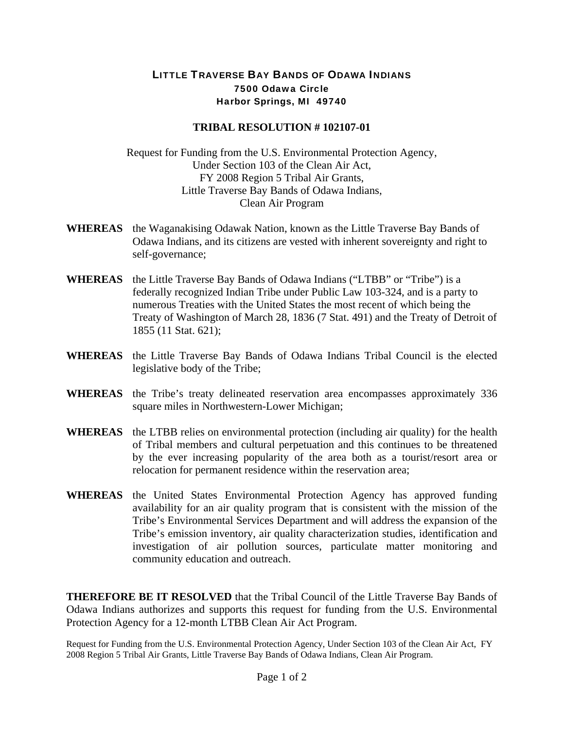## LITTLE TRAVERSE BAY BANDS OF ODAWA INDIANS 7500 Odawa Circle Harbor Springs, MI 49740

## **TRIBAL RESOLUTION # 102107-01**

Request for Funding from the U.S. Environmental Protection Agency, Under Section 103 of the Clean Air Act, FY 2008 Region 5 Tribal Air Grants, Little Traverse Bay Bands of Odawa Indians, Clean Air Program

- **WHEREAS** the Waganakising Odawak Nation, known as the Little Traverse Bay Bands of Odawa Indians, and its citizens are vested with inherent sovereignty and right to self-governance;
- **WHEREAS** the Little Traverse Bay Bands of Odawa Indians ("LTBB" or "Tribe") is a federally recognized Indian Tribe under Public Law 103-324, and is a party to numerous Treaties with the United States the most recent of which being the Treaty of Washington of March 28, 1836 (7 Stat. 491) and the Treaty of Detroit of 1855 (11 Stat. 621);
- **WHEREAS** the Little Traverse Bay Bands of Odawa Indians Tribal Council is the elected legislative body of the Tribe;
- **WHEREAS** the Tribe's treaty delineated reservation area encompasses approximately 336 square miles in Northwestern-Lower Michigan;
- **WHEREAS** the LTBB relies on environmental protection (including air quality) for the health of Tribal members and cultural perpetuation and this continues to be threatened by the ever increasing popularity of the area both as a tourist/resort area or relocation for permanent residence within the reservation area;
- **WHEREAS** the United States Environmental Protection Agency has approved funding availability for an air quality program that is consistent with the mission of the Tribe's Environmental Services Department and will address the expansion of the Tribe's emission inventory, air quality characterization studies, identification and investigation of air pollution sources, particulate matter monitoring and community education and outreach.

**THEREFORE BE IT RESOLVED** that the Tribal Council of the Little Traverse Bay Bands of Odawa Indians authorizes and supports this request for funding from the U.S. Environmental Protection Agency for a 12-month LTBB Clean Air Act Program.

Request for Funding from the U.S. Environmental Protection Agency, Under Section 103 of the Clean Air Act, FY 2008 Region 5 Tribal Air Grants, Little Traverse Bay Bands of Odawa Indians, Clean Air Program.